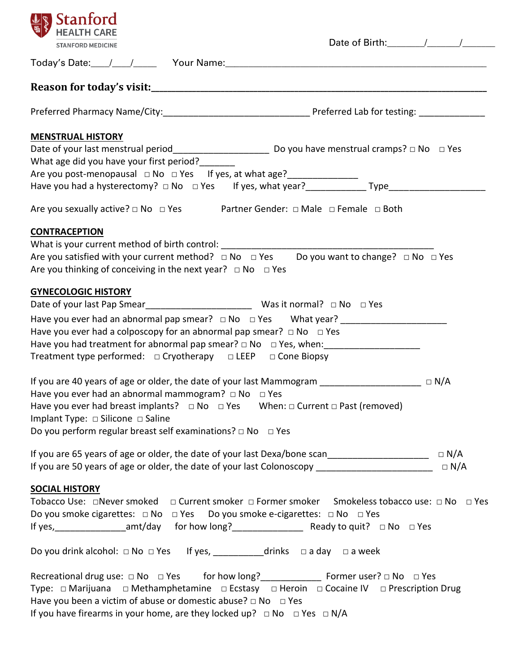| <b>Stanford</b>                                                                                              |            |
|--------------------------------------------------------------------------------------------------------------|------------|
| <b>STANFORD MEDICINE</b>                                                                                     |            |
|                                                                                                              |            |
|                                                                                                              |            |
|                                                                                                              |            |
| <b>MENSTRUAL HISTORY</b>                                                                                     |            |
|                                                                                                              |            |
| What age did you have your first period?                                                                     |            |
|                                                                                                              |            |
|                                                                                                              |            |
| Are you sexually active?  □ No □ Yes Partner Gender: □ Male □ Female □ Both                                  |            |
| <b>CONTRACEPTION</b>                                                                                         |            |
| What is your current method of birth control: __________________________________                             |            |
| Are you satisfied with your current method? $\Box$ No $\Box$ Yes Do you want to change? $\Box$ No $\Box$ Yes |            |
| Are you thinking of conceiving in the next year? $\Box$ No $\Box$ Yes                                        |            |
| <b>GYNECOLOGIC HISTORY</b>                                                                                   |            |
|                                                                                                              |            |
| Have you ever had an abnormal pap smear? $\Box$ No $\Box$ Yes What year?                                     |            |
| Have you ever had a colposcopy for an abnormal pap smear? $\Box$ No $\Box$ Yes                               |            |
|                                                                                                              |            |
| Treatment type performed: □ Cryotherapy □ LEEP □ Cone Biopsy                                                 |            |
|                                                                                                              |            |
| If you are 40 years of age or older, the date of your last Mammogram __________________________ D N/A        |            |
| Have you ever had an abnormal mammogram? $\Box$ No $\Box$ Yes                                                |            |
| Have you ever had breast implants? $\Box$ No $\Box$ Yes When: $\Box$ Current $\Box$ Past (removed)           |            |
| Implant Type: □ Silicone □ Saline                                                                            |            |
| Do you perform regular breast self examinations? $\Box$ No $\Box$ Yes                                        |            |
|                                                                                                              |            |
|                                                                                                              |            |
| If you are 50 years of age or older, the date of your last Colonoscopy ____________________________          | $\Box$ N/A |
| <b>SOCIAL HISTORY</b>                                                                                        |            |
| Tobacco Use: □Never smoked □ Current smoker □ Former smoker Smokeless tobacco use: □ No □ Yes                |            |
| Do you smoke cigarettes: $\Box$ No $\Box$ Yes Do you smoke e-cigarettes: $\Box$ No $\Box$ Yes                |            |
|                                                                                                              |            |
|                                                                                                              |            |
| Do you drink alcohol: $\Box$ No $\Box$ Yes If yes, ___________drinks $\Box$ a day $\Box$ a week              |            |
|                                                                                                              |            |
| Type: □ Marijuana □ Methamphetamine □ Ecstasy □ Heroin □ Cocaine IV □ Prescription Drug                      |            |
| Have you been a victim of abuse or domestic abuse? $\Box$ No $\Box$ Yes                                      |            |
| If you have firearms in your home, are they locked up? $\Box$ No $\Box$ Yes $\Box$ N/A                       |            |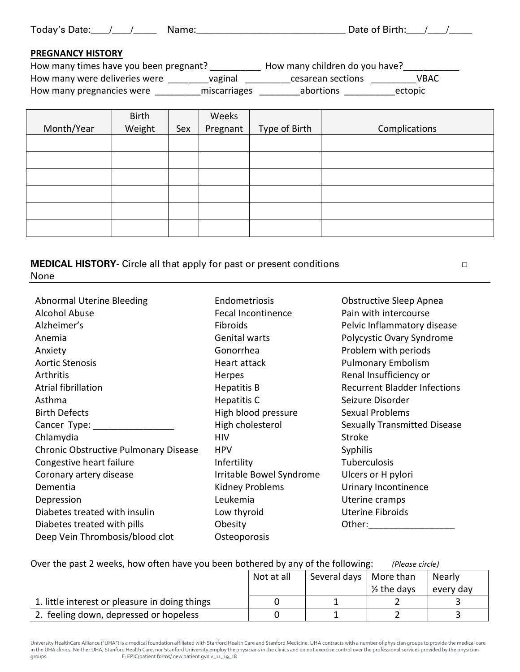| Today's Date: |  | Name: |
|---------------|--|-------|
|---------------|--|-------|

Date of Birth: $\frac{\sqrt{2}}{2}$ 

## **PREGNANCY HISTORY**

| How many times have you been pregnant? |              | How many children do you have? |         |
|----------------------------------------|--------------|--------------------------------|---------|
| How many were deliveries were          | vaginal      | cesarean sections              | VBAC    |
| How many pregnancies were              | miscarriages | abortions                      | ectopic |

|            | Birth  |     | Weeks    |               |               |
|------------|--------|-----|----------|---------------|---------------|
| Month/Year | Weight | Sex | Pregnant | Type of Birth | Complications |
|            |        |     |          |               |               |
|            |        |     |          |               |               |
|            |        |     |          |               |               |
|            |        |     |          |               |               |
|            |        |     |          |               |               |
|            |        |     |          |               |               |

**MEDICAL HISTORY**- Circle all that apply for past or present conditions □ **□ □** None

| <b>Abnormal Uterine Bleeding</b>      | Endometriosis            | <b>Obstructive Sleep Apnea</b>                                                                                                                                                                                                 |
|---------------------------------------|--------------------------|--------------------------------------------------------------------------------------------------------------------------------------------------------------------------------------------------------------------------------|
| <b>Alcohol Abuse</b>                  | Fecal Incontinence       | Pain with intercourse                                                                                                                                                                                                          |
| Alzheimer's                           | Fibroids                 | Pelvic Inflammatory disease                                                                                                                                                                                                    |
| Anemia                                | <b>Genital warts</b>     | Polycystic Ovary Syndrome                                                                                                                                                                                                      |
| Anxiety                               | Gonorrhea                | Problem with periods                                                                                                                                                                                                           |
| <b>Aortic Stenosis</b>                | Heart attack             | <b>Pulmonary Embolism</b>                                                                                                                                                                                                      |
| Arthritis                             | Herpes                   | Renal Insufficiency or                                                                                                                                                                                                         |
| Atrial fibrillation                   | <b>Hepatitis B</b>       | <b>Recurrent Bladder Infections</b>                                                                                                                                                                                            |
| Asthma                                | Hepatitis C              | Seizure Disorder                                                                                                                                                                                                               |
| <b>Birth Defects</b>                  | High blood pressure      | <b>Sexual Problems</b>                                                                                                                                                                                                         |
| Cancer Type:                          | High cholesterol         | <b>Sexually Transmitted Disease</b>                                                                                                                                                                                            |
| Chlamydia                             | <b>HIV</b>               | <b>Stroke</b>                                                                                                                                                                                                                  |
| Chronic Obstructive Pulmonary Disease | <b>HPV</b>               | <b>Syphilis</b>                                                                                                                                                                                                                |
| Congestive heart failure              | Infertility              | Tuberculosis                                                                                                                                                                                                                   |
| Coronary artery disease               | Irritable Bowel Syndrome | Ulcers or H pylori                                                                                                                                                                                                             |
| Dementia                              | Kidney Problems          | Urinary Incontinence                                                                                                                                                                                                           |
| Depression                            | Leukemia                 | Uterine cramps                                                                                                                                                                                                                 |
| Diabetes treated with insulin         | Low thyroid              | <b>Uterine Fibroids</b>                                                                                                                                                                                                        |
| Diabetes treated with pills           | Obesity                  | Other: and the state of the state of the state of the state of the state of the state of the state of the state of the state of the state of the state of the state of the state of the state of the state of the state of the |
| Deep Vein Thrombosis/blood clot       | Osteoporosis             |                                                                                                                                                                                                                                |

| Over the past 2 weeks, how often have you been bothered by any of the following: |  | (Please circle) |
|----------------------------------------------------------------------------------|--|-----------------|
|                                                                                  |  |                 |

|                                                | Not at all | Several days   More than |                        | Nearly    |
|------------------------------------------------|------------|--------------------------|------------------------|-----------|
|                                                |            |                          | $\frac{1}{2}$ the days | every day |
| 1. little interest or pleasure in doing things |            |                          |                        |           |
| 2. feeling down, depressed or hopeless         |            |                          |                        |           |

University HealthCare Alliance ("UHA") is a medical foundation affiliated with Stanford Health Care and Stanford Medicine. UHA contracts with a number of physician groups to provide the medical care in the UHA clinics. Neither UHA, Stanford Health Care, nor Stanford University employ the physicians in the clinics and do not exercise control over the professional services provided by the physician<br>
F: EPIC/patient form F: EPIC/patient forms/ new patient gyn v\_11\_19\_18